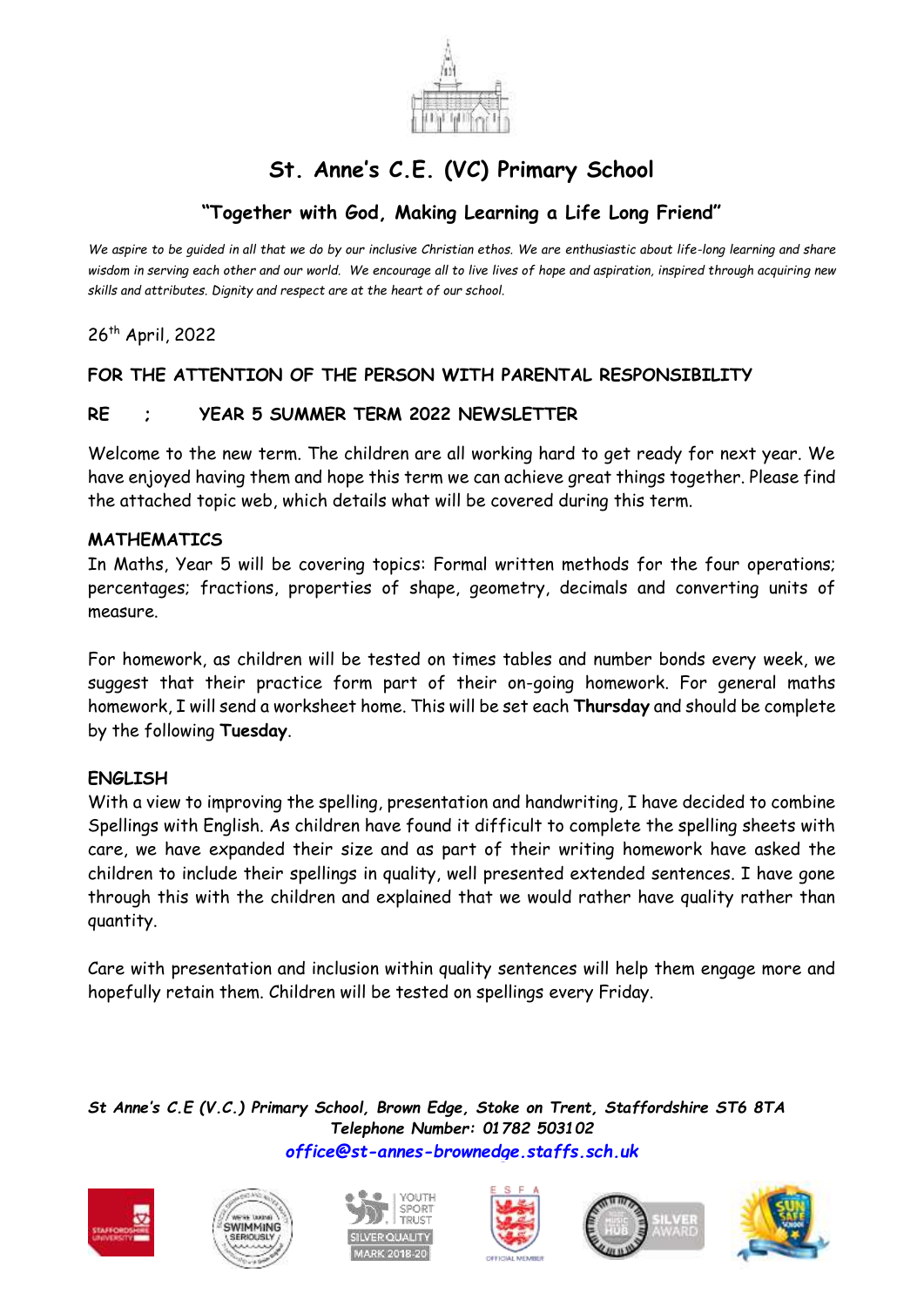

# **St. Anne's C.E. (VC) Primary School**

# **"Together with God, Making Learning a Life Long Friend"**

*We aspire to be guided in all that we do by our inclusive Christian ethos. We are enthusiastic about life-long learning and share wisdom in serving each other and our world. We encourage all to live lives of hope and aspiration, inspired through acquiring new skills and attributes. Dignity and respect are at the heart of our school.*

26 th April, 2022

# **FOR THE ATTENTION OF THE PERSON WITH PARENTAL RESPONSIBILITY**

# **RE ; YEAR 5 SUMMER TERM 2022 NEWSLETTER**

Welcome to the new term. The children are all working hard to get ready for next year. We have enjoyed having them and hope this term we can achieve great things together. Please find the attached topic web, which details what will be covered during this term.

#### **MATHEMATICS**

In Maths, Year 5 will be covering topics: Formal written methods for the four operations; percentages; fractions, properties of shape, geometry, decimals and converting units of measure.

For homework, as children will be tested on times tables and number bonds every week, we suggest that their practice form part of their on-going homework. For general maths homework, I will send a worksheet home. This will be set each **Thursday** and should be complete by the following **Tuesday**.

# **ENGLISH**

With a view to improving the spelling, presentation and handwriting, I have decided to combine Spellings with English. As children have found it difficult to complete the spelling sheets with care, we have expanded their size and as part of their writing homework have asked the children to include their spellings in quality, well presented extended sentences. I have gone through this with the children and explained that we would rather have quality rather than quantity.

Care with presentation and inclusion within quality sentences will help them engage more and hopefully retain them. Children will be tested on spellings every Friday.

*St Anne's C.E (V.C.) Primary School, Brown Edge, Stoke on Trent, Staffordshire ST6 8TA Telephone Number: 01782 503102 [office@st-annes-brownedge.staffs.sch.uk](mailto:office@st-annes-brownedge.staffs.sch.uk)*